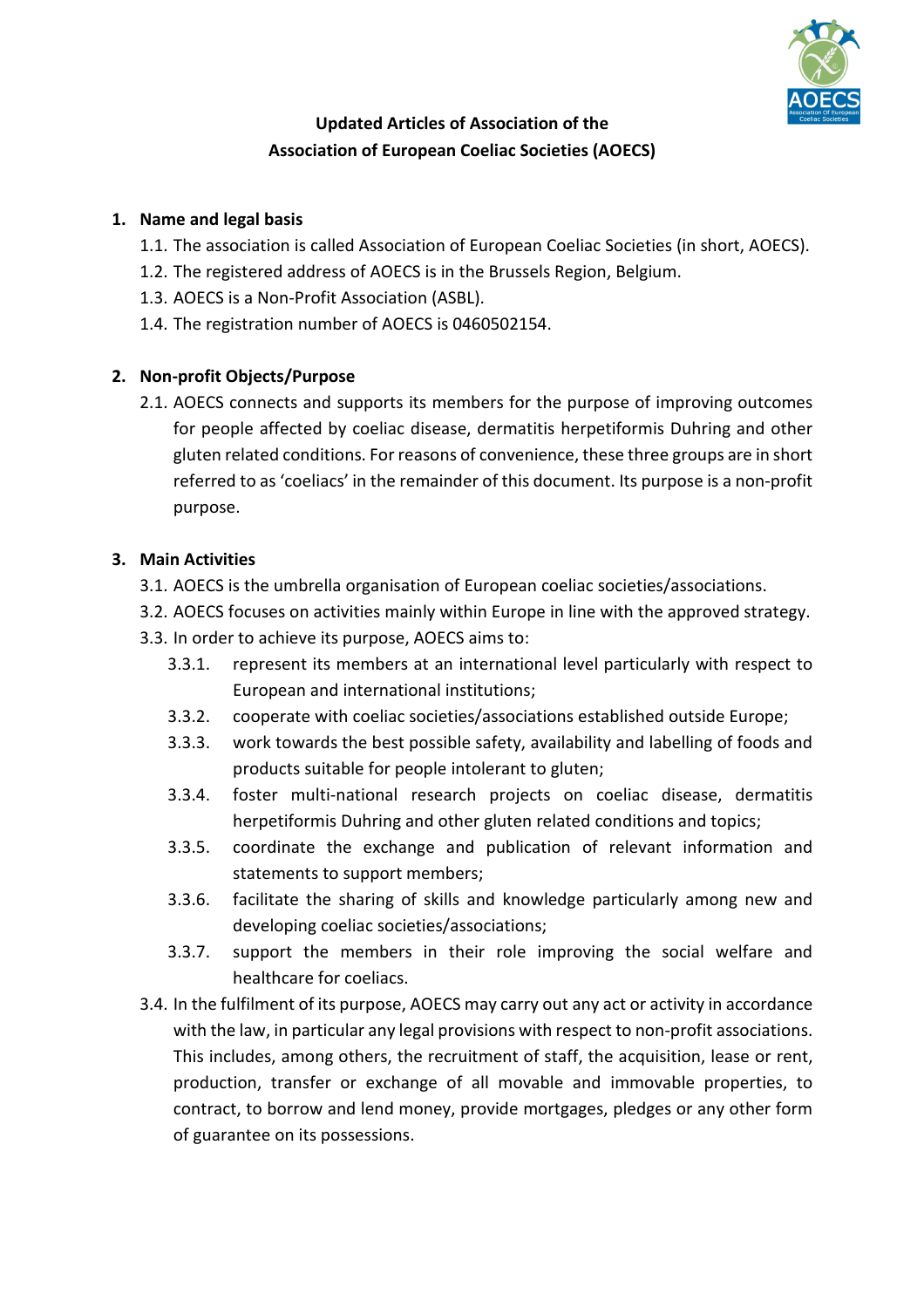

# **Updated Articles of Association of the Association of European Coeliac Societies (AOECS)**

# **1. Name and legal basis**

- 1.1. The association is called Association of European Coeliac Societies (in short, AOECS).
- 1.2. The registered address of AOECS is in the Brussels Region, Belgium.
- 1.3. AOECS is a Non-Profit Association (ASBL).
- 1.4. The registration number of AOECS is 0460502154.

# **2. Non-profit Objects/Purpose**

2.1. AOECS connects and supports its members for the purpose of improving outcomes for people affected by coeliac disease, dermatitis herpetiformis Duhring and other gluten related conditions. For reasons of convenience, these three groups are in short referred to as 'coeliacs' in the remainder of this document. Its purpose is a non-profit purpose.

# **3. Main Activities**

- 3.1. AOECS is the umbrella organisation of European coeliac societies/associations.
- 3.2. AOECS focuses on activities mainly within Europe in line with the approved strategy.
- 3.3. In order to achieve its purpose, AOECS aims to:
	- 3.3.1. represent its members at an international level particularly with respect to European and international institutions;
	- 3.3.2. cooperate with coeliac societies/associations established outside Europe;
	- 3.3.3. work towards the best possible safety, availability and labelling of foods and products suitable for people intolerant to gluten;
	- 3.3.4. foster multi-national research projects on coeliac disease, dermatitis herpetiformis Duhring and other gluten related conditions and topics;
	- 3.3.5. coordinate the exchange and publication of relevant information and statements to support members;
	- 3.3.6. facilitate the sharing of skills and knowledge particularly among new and developing coeliac societies/associations;
	- 3.3.7. support the members in their role improving the social welfare and healthcare for coeliacs.
- 3.4. In the fulfilment of its purpose, AOECS may carry out any act or activity in accordance with the law, in particular any legal provisions with respect to non-profit associations. This includes, among others, the recruitment of staff, the acquisition, lease or rent, production, transfer or exchange of all movable and immovable properties, to contract, to borrow and lend money, provide mortgages, pledges or any other form of guarantee on its possessions.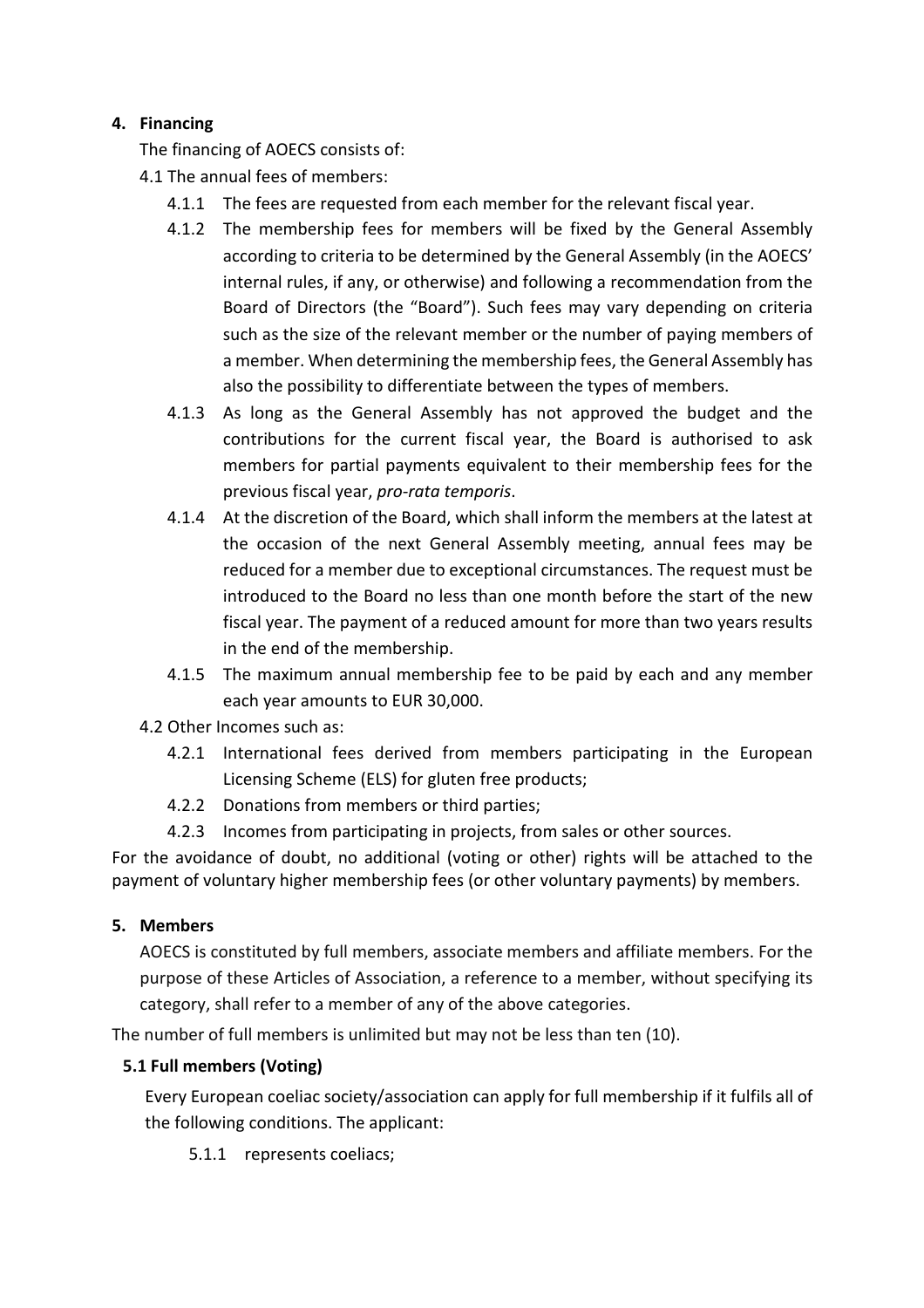# **4. Financing**

The financing of AOECS consists of:

- 4.1 The annual fees of members:
	- 4.1.1 The fees are requested from each member for the relevant fiscal year.
	- 4.1.2 The membership fees for members will be fixed by the General Assembly according to criteria to be determined by the General Assembly (in the AOECS' internal rules, if any, or otherwise) and following a recommendation from the Board of Directors (the "Board"). Such fees may vary depending on criteria such as the size of the relevant member or the number of paying members of a member. When determining the membership fees, the General Assembly has also the possibility to differentiate between the types of members.
	- 4.1.3 As long as the General Assembly has not approved the budget and the contributions for the current fiscal year, the Board is authorised to ask members for partial payments equivalent to their membership fees for the previous fiscal year, *pro-rata temporis*.
	- 4.1.4 At the discretion of the Board, which shall inform the members at the latest at the occasion of the next General Assembly meeting, annual fees may be reduced for a member due to exceptional circumstances. The request must be introduced to the Board no less than one month before the start of the new fiscal year. The payment of a reduced amount for more than two years results in the end of the membership.
	- 4.1.5 The maximum annual membership fee to be paid by each and any member each year amounts to EUR 30,000.
- 4.2 Other Incomes such as:
	- 4.2.1 International fees derived from members participating in the European Licensing Scheme (ELS) for gluten free products;
	- 4.2.2 Donations from members or third parties;
	- 4.2.3 Incomes from participating in projects, from sales or other sources.

For the avoidance of doubt, no additional (voting or other) rights will be attached to the payment of voluntary higher membership fees (or other voluntary payments) by members.

## **5. Members**

AOECS is constituted by full members, associate members and affiliate members. For the purpose of these Articles of Association, a reference to a member, without specifying its category, shall refer to a member of any of the above categories.

The number of full members is unlimited but may not be less than ten (10).

## **5.1 Full members (Voting)**

Every European coeliac society/association can apply for full membership if it fulfils all of the following conditions. The applicant:

5.1.1 represents coeliacs;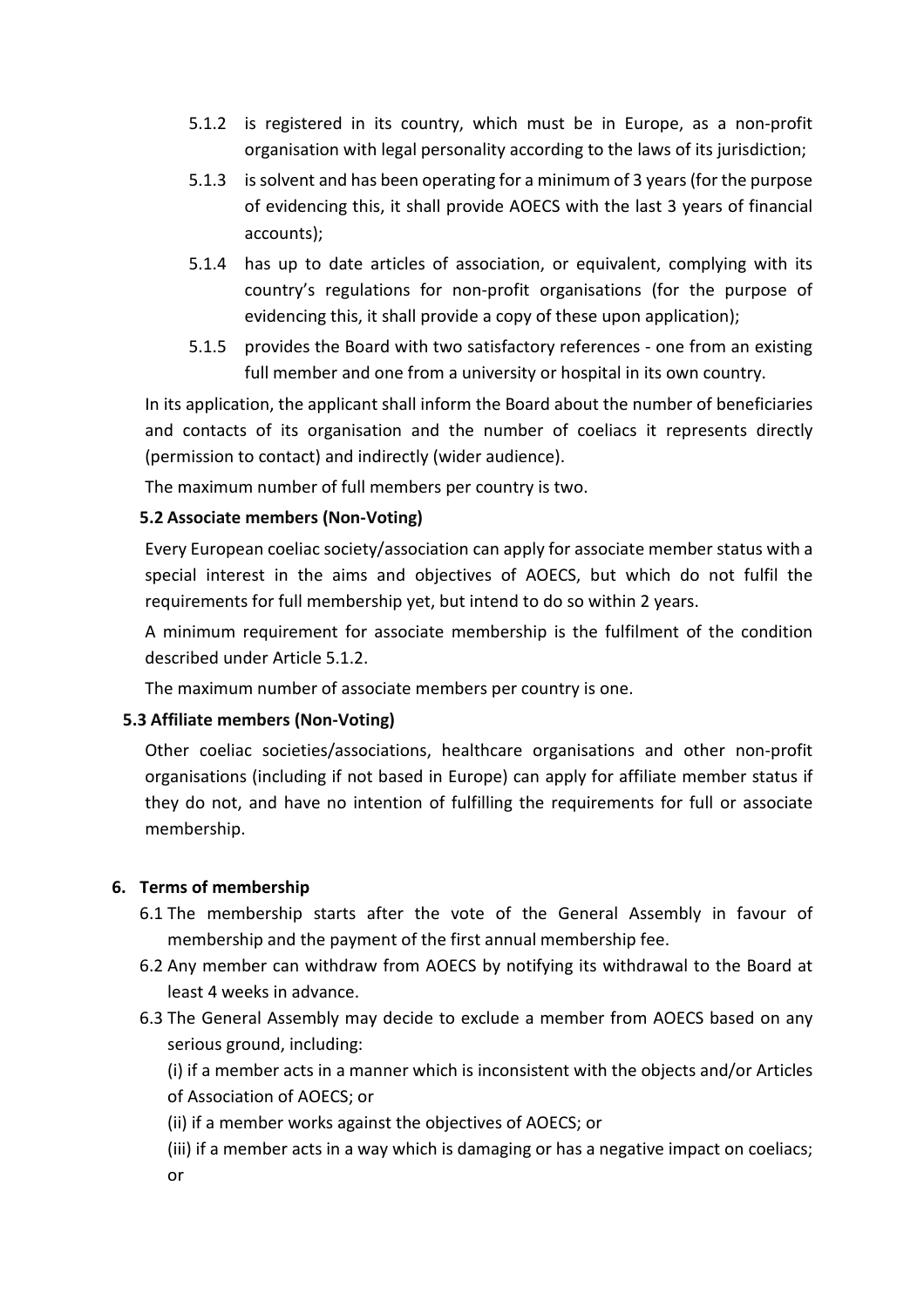- 5.1.2 is registered in its country, which must be in Europe, as a non-profit organisation with legal personality according to the laws of its jurisdiction;
- 5.1.3 is solvent and has been operating for a minimum of 3 years (for the purpose of evidencing this, it shall provide AOECS with the last 3 years of financial accounts);
- 5.1.4 has up to date articles of association, or equivalent, complying with its country's regulations for non-profit organisations (for the purpose of evidencing this, it shall provide a copy of these upon application);
- 5.1.5 provides the Board with two satisfactory references one from an existing full member and one from a university or hospital in its own country.

In its application, the applicant shall inform the Board about the number of beneficiaries and contacts of its organisation and the number of coeliacs it represents directly (permission to contact) and indirectly (wider audience).

The maximum number of full members per country is two.

## **5.2 Associate members (Non-Voting)**

Every European coeliac society/association can apply for associate member status with a special interest in the aims and objectives of AOECS, but which do not fulfil the requirements for full membership yet, but intend to do so within 2 years.

A minimum requirement for associate membership is the fulfilment of the condition described under Article 5.1.2.

The maximum number of associate members per country is one.

## **5.3 Affiliate members (Non-Voting)**

Other coeliac societies/associations, healthcare organisations and other non-profit organisations (including if not based in Europe) can apply for affiliate member status if they do not, and have no intention of fulfilling the requirements for full or associate membership.

### **6. Terms of membership**

- 6.1 The membership starts after the vote of the General Assembly in favour of membership and the payment of the first annual membership fee.
- 6.2 Any member can withdraw from AOECS by notifying its withdrawal to the Board at least 4 weeks in advance.
- 6.3 The General Assembly may decide to exclude a member from AOECS based on any serious ground, including:

(i) if a member acts in a manner which is inconsistent with the objects and/or Articles of Association of AOECS; or

- (ii) if a member works against the objectives of AOECS; or
- (iii) if a member acts in a way which is damaging or has a negative impact on coeliacs; or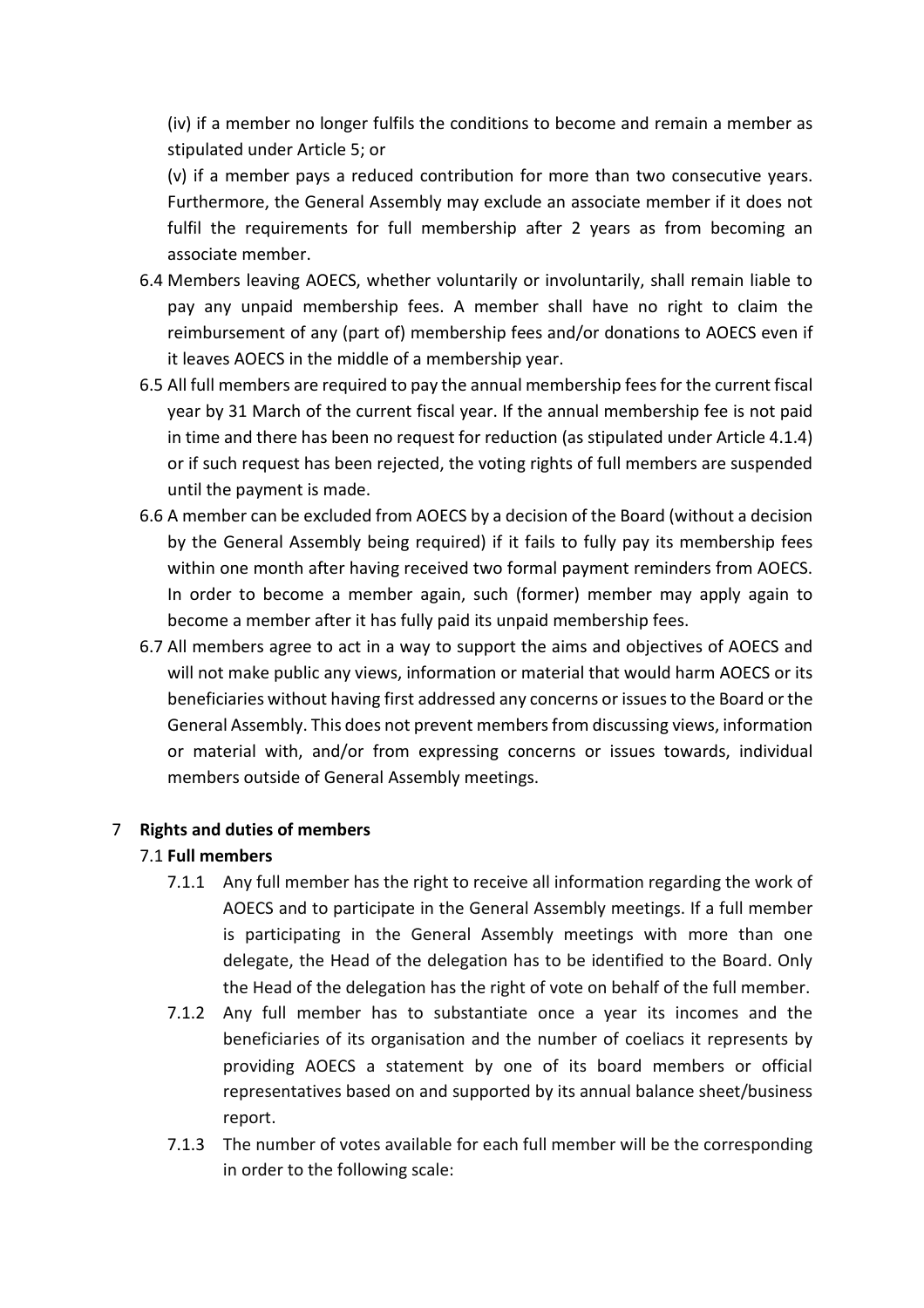(iv) if a member no longer fulfils the conditions to become and remain a member as stipulated under Article 5; or

(v) if a member pays a reduced contribution for more than two consecutive years. Furthermore, the General Assembly may exclude an associate member if it does not fulfil the requirements for full membership after 2 years as from becoming an associate member.

- 6.4 Members leaving AOECS, whether voluntarily or involuntarily, shall remain liable to pay any unpaid membership fees. A member shall have no right to claim the reimbursement of any (part of) membership fees and/or donations to AOECS even if it leaves AOECS in the middle of a membership year.
- 6.5 All full members are required to pay the annual membership fees for the current fiscal year by 31 March of the current fiscal year. If the annual membership fee is not paid in time and there has been no request for reduction (as stipulated under Article 4.1.4) or if such request has been rejected, the voting rights of full members are suspended until the payment is made.
- 6.6 A member can be excluded from AOECS by a decision of the Board (without a decision by the General Assembly being required) if it fails to fully pay its membership fees within one month after having received two formal payment reminders from AOECS. In order to become a member again, such (former) member may apply again to become a member after it has fully paid its unpaid membership fees.
- 6.7 All members agree to act in a way to support the aims and objectives of AOECS and will not make public any views, information or material that would harm AOECS or its beneficiaries without having first addressed any concerns or issues to the Board or the General Assembly. This does not prevent members from discussing views, information or material with, and/or from expressing concerns or issues towards, individual members outside of General Assembly meetings.

## 7 **Rights and duties of members**

## 7.1 **Full members**

- 7.1.1 Any full member has the right to receive all information regarding the work of AOECS and to participate in the General Assembly meetings. If a full member is participating in the General Assembly meetings with more than one delegate, the Head of the delegation has to be identified to the Board. Only the Head of the delegation has the right of vote on behalf of the full member.
- 7.1.2 Any full member has to substantiate once a year its incomes and the beneficiaries of its organisation and the number of coeliacs it represents by providing AOECS a statement by one of its board members or official representatives based on and supported by its annual balance sheet/business report.
- 7.1.3 The number of votes available for each full member will be the corresponding in order to the following scale: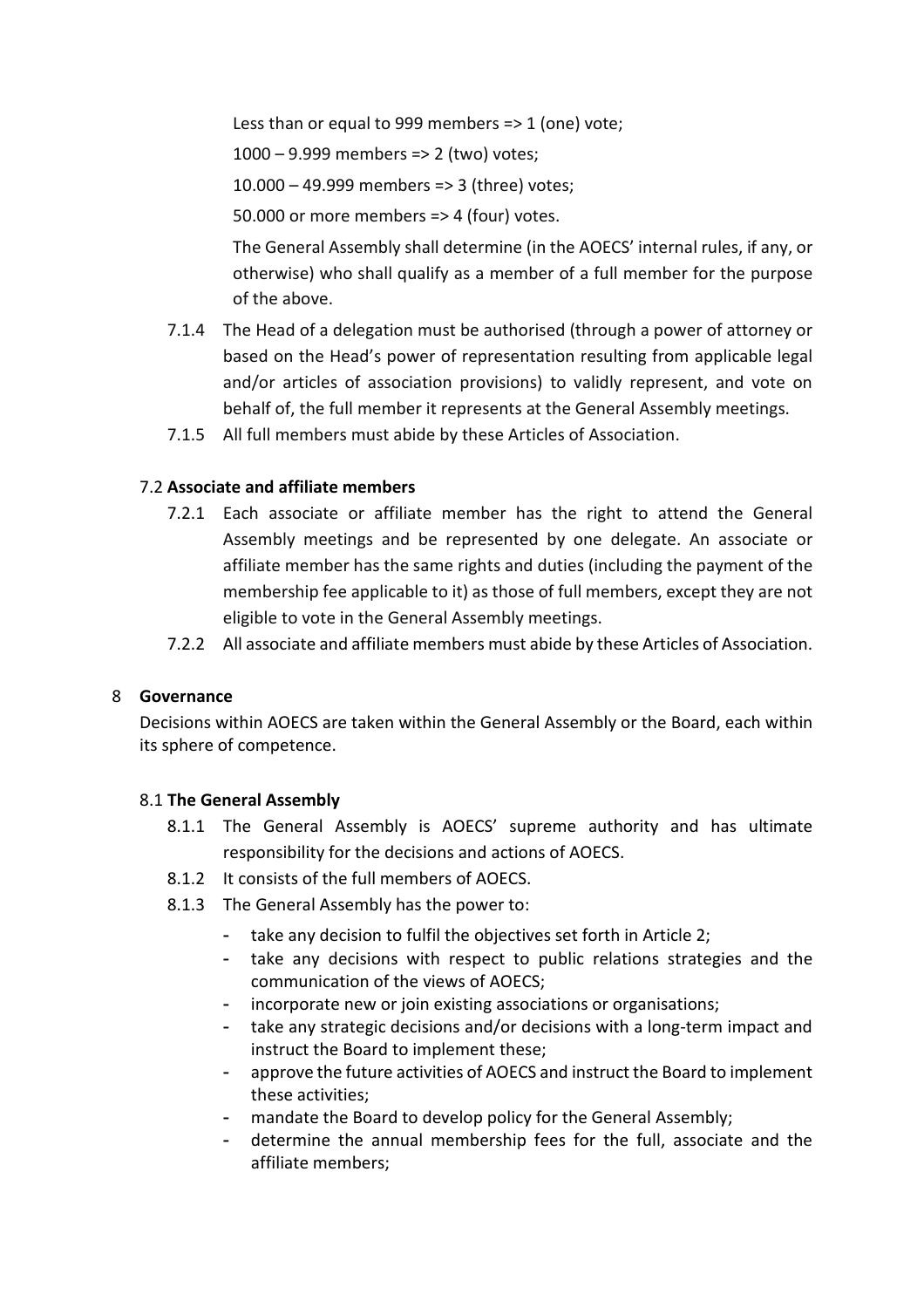Less than or equal to 999 members  $\Rightarrow$  1 (one) vote;

1000 – 9.999 members => 2 (two) votes;

10.000 – 49.999 members => 3 (three) votes;

50.000 or more members => 4 (four) votes.

The General Assembly shall determine (in the AOECS' internal rules, if any, or otherwise) who shall qualify as a member of a full member for the purpose of the above.

- 7.1.4 The Head of a delegation must be authorised (through a power of attorney or based on the Head's power of representation resulting from applicable legal and/or articles of association provisions) to validly represent, and vote on behalf of, the full member it represents at the General Assembly meetings.
- 7.1.5 All full members must abide by these Articles of Association.

# 7.2 **Associate and affiliate members**

- 7.2.1 Each associate or affiliate member has the right to attend the General Assembly meetings and be represented by one delegate. An associate or affiliate member has the same rights and duties (including the payment of the membership fee applicable to it) as those of full members, except they are not eligible to vote in the General Assembly meetings.
- 7.2.2 All associate and affiliate members must abide by these Articles of Association.

## 8 **Governance**

Decisions within AOECS are taken within the General Assembly or the Board, each within its sphere of competence.

## 8.1 **The General Assembly**

- 8.1.1 The General Assembly is AOECS' supreme authority and has ultimate responsibility for the decisions and actions of AOECS.
- 8.1.2 It consists of the full members of AOECS.
- 8.1.3 The General Assembly has the power to:
	- take any decision to fulfil the objectives set forth in Article 2;
	- take any decisions with respect to public relations strategies and the communication of the views of AOECS;
	- incorporate new or join existing associations or organisations;
	- take any strategic decisions and/or decisions with a long-term impact and instruct the Board to implement these;
	- approve the future activities of AOECS and instruct the Board to implement these activities;
	- mandate the Board to develop policy for the General Assembly;
	- determine the annual membership fees for the full, associate and the affiliate members;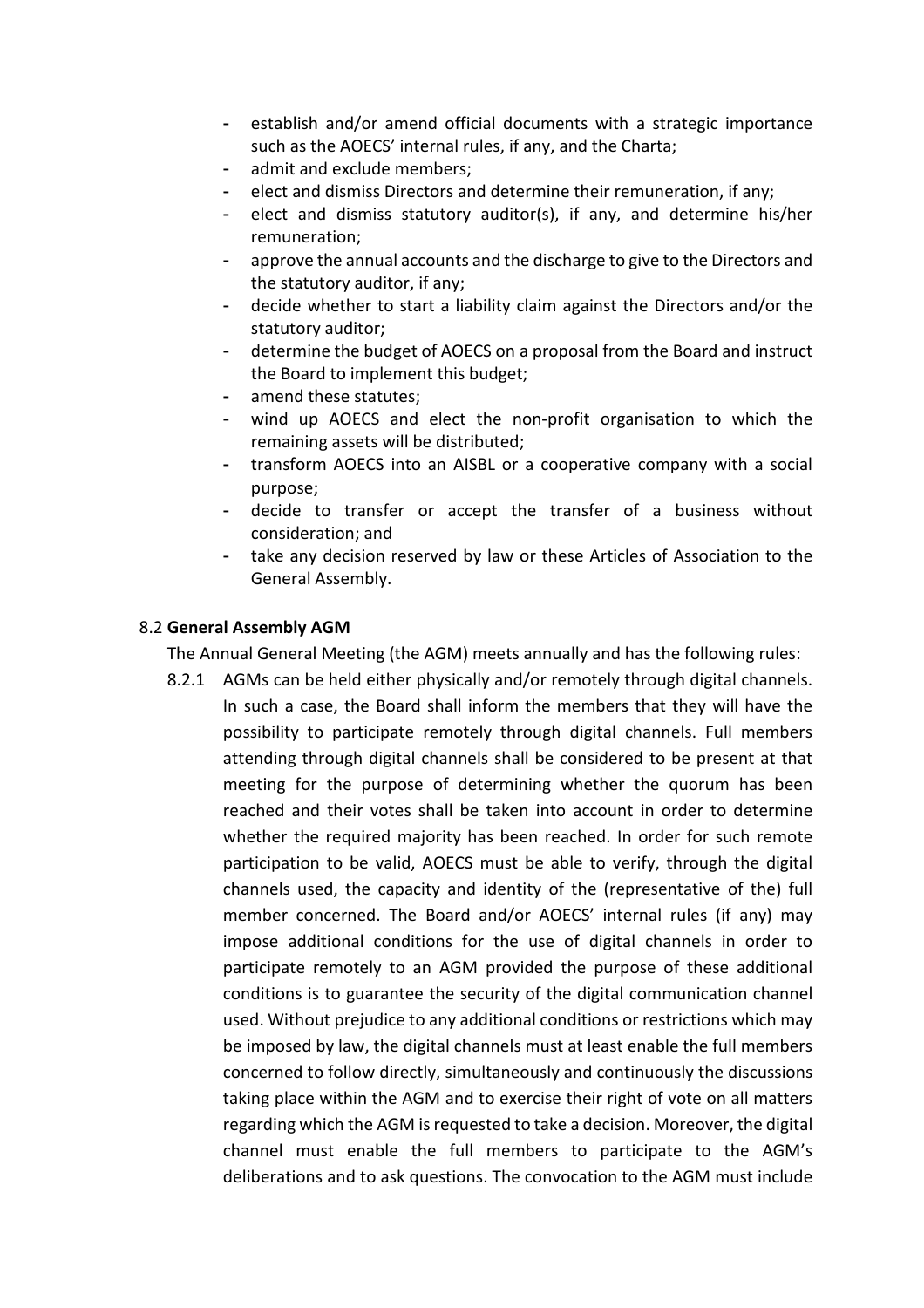- establish and/or amend official documents with a strategic importance such as the AOECS' internal rules, if any, and the Charta;
- admit and exclude members;
- elect and dismiss Directors and determine their remuneration, if any;
- elect and dismiss statutory auditor(s), if any, and determine his/her remuneration;
- approve the annual accounts and the discharge to give to the Directors and the statutory auditor, if any;
- decide whether to start a liability claim against the Directors and/or the statutory auditor;
- determine the budget of AOECS on a proposal from the Board and instruct the Board to implement this budget;
- amend these statutes;
- wind up AOECS and elect the non-profit organisation to which the remaining assets will be distributed;
- transform AOECS into an AISBL or a cooperative company with a social purpose;
- decide to transfer or accept the transfer of a business without consideration; and
- take any decision reserved by law or these Articles of Association to the General Assembly.

## 8.2 **General Assembly AGM**

The Annual General Meeting (the AGM) meets annually and has the following rules:

8.2.1 AGMs can be held either physically and/or remotely through digital channels. In such a case, the Board shall inform the members that they will have the possibility to participate remotely through digital channels. Full members attending through digital channels shall be considered to be present at that meeting for the purpose of determining whether the quorum has been reached and their votes shall be taken into account in order to determine whether the required majority has been reached. In order for such remote participation to be valid, AOECS must be able to verify, through the digital channels used, the capacity and identity of the (representative of the) full member concerned. The Board and/or AOECS' internal rules (if any) may impose additional conditions for the use of digital channels in order to participate remotely to an AGM provided the purpose of these additional conditions is to guarantee the security of the digital communication channel used. Without prejudice to any additional conditions or restrictions which may be imposed by law, the digital channels must at least enable the full members concerned to follow directly, simultaneously and continuously the discussions taking place within the AGM and to exercise their right of vote on all matters regarding which the AGM is requested to take a decision. Moreover, the digital channel must enable the full members to participate to the AGM's deliberations and to ask questions. The convocation to the AGM must include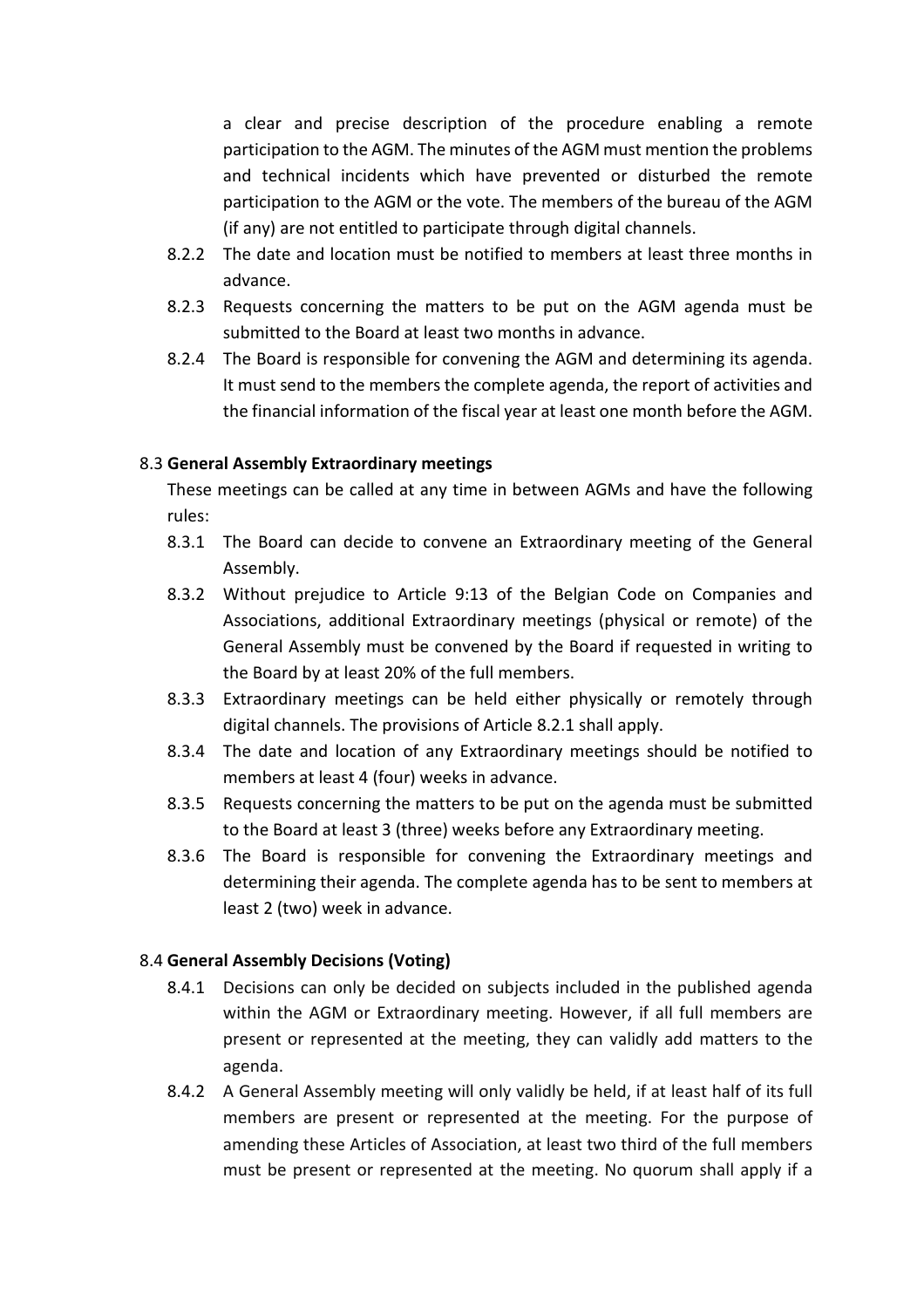a clear and precise description of the procedure enabling a remote participation to the AGM. The minutes of the AGM must mention the problems and technical incidents which have prevented or disturbed the remote participation to the AGM or the vote. The members of the bureau of the AGM (if any) are not entitled to participate through digital channels.

- 8.2.2 The date and location must be notified to members at least three months in advance.
- 8.2.3 Requests concerning the matters to be put on the AGM agenda must be submitted to the Board at least two months in advance.
- 8.2.4 The Board is responsible for convening the AGM and determining its agenda. It must send to the members the complete agenda, the report of activities and the financial information of the fiscal year at least one month before the AGM.

## 8.3 **General Assembly Extraordinary meetings**

These meetings can be called at any time in between AGMs and have the following rules:

- 8.3.1 The Board can decide to convene an Extraordinary meeting of the General Assembly.
- 8.3.2 Without prejudice to Article 9:13 of the Belgian Code on Companies and Associations, additional Extraordinary meetings (physical or remote) of the General Assembly must be convened by the Board if requested in writing to the Board by at least 20% of the full members.
- 8.3.3 Extraordinary meetings can be held either physically or remotely through digital channels. The provisions of Article 8.2.1 shall apply.
- 8.3.4 The date and location of any Extraordinary meetings should be notified to members at least 4 (four) weeks in advance.
- 8.3.5 Requests concerning the matters to be put on the agenda must be submitted to the Board at least 3 (three) weeks before any Extraordinary meeting.
- 8.3.6 The Board is responsible for convening the Extraordinary meetings and determining their agenda. The complete agenda has to be sent to members at least 2 (two) week in advance.

## 8.4 **General Assembly Decisions (Voting)**

- 8.4.1 Decisions can only be decided on subjects included in the published agenda within the AGM or Extraordinary meeting. However, if all full members are present or represented at the meeting, they can validly add matters to the agenda.
- 8.4.2 A General Assembly meeting will only validly be held, if at least half of its full members are present or represented at the meeting. For the purpose of amending these Articles of Association, at least two third of the full members must be present or represented at the meeting. No quorum shall apply if a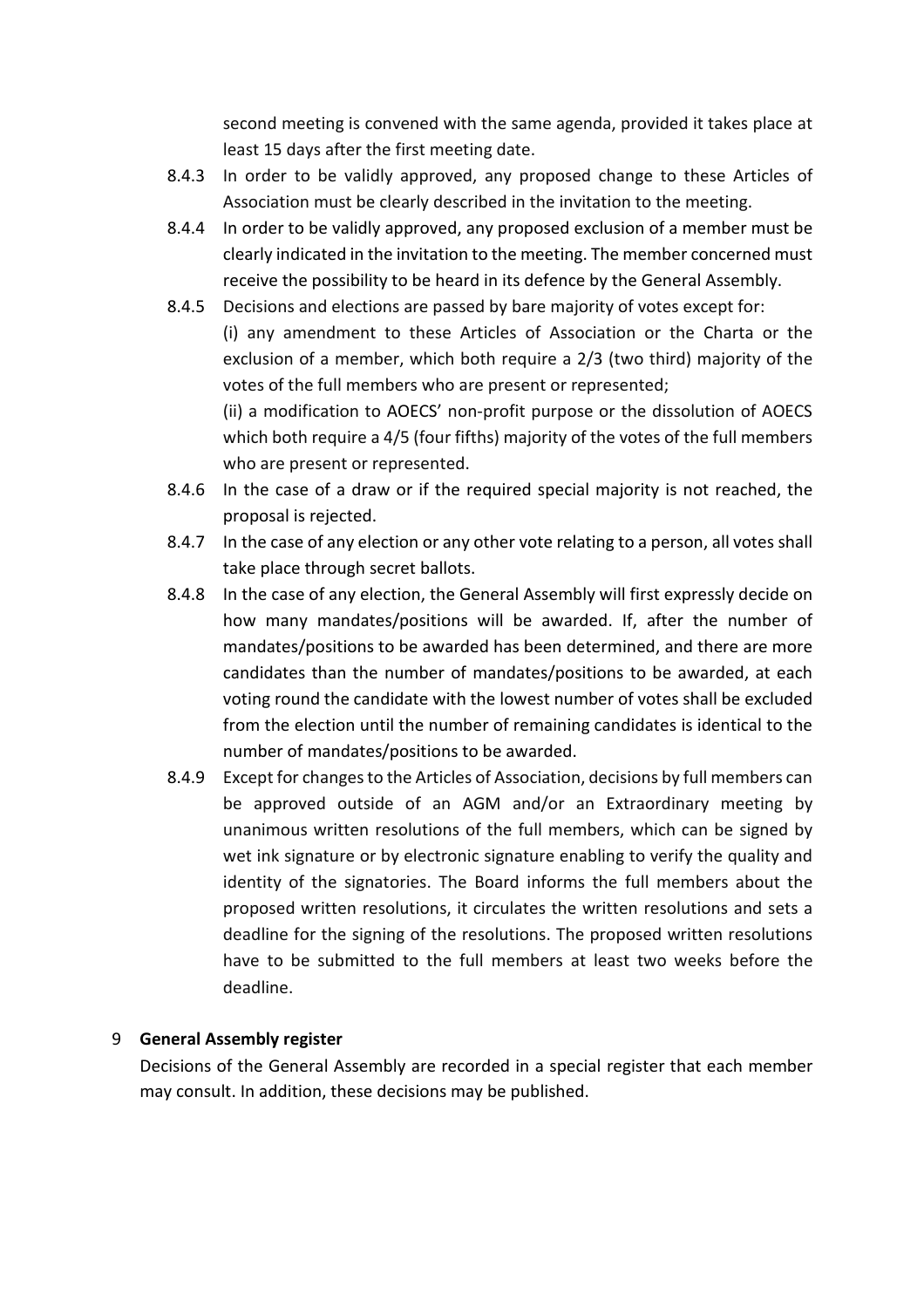second meeting is convened with the same agenda, provided it takes place at least 15 days after the first meeting date.

- 8.4.3 In order to be validly approved, any proposed change to these Articles of Association must be clearly described in the invitation to the meeting.
- 8.4.4 In order to be validly approved, any proposed exclusion of a member must be clearly indicated in the invitation to the meeting. The member concerned must receive the possibility to be heard in its defence by the General Assembly.
- 8.4.5 Decisions and elections are passed by bare majority of votes except for: (i) any amendment to these Articles of Association or the Charta or the exclusion of a member, which both require a 2/3 (two third) majority of the votes of the full members who are present or represented; (ii) a modification to AOECS' non-profit purpose or the dissolution of AOECS which both require a 4/5 (four fifths) majority of the votes of the full members who are present or represented.
- 8.4.6 In the case of a draw or if the required special majority is not reached, the proposal is rejected.
- 8.4.7 In the case of any election or any other vote relating to a person, all votes shall take place through secret ballots.
- 8.4.8 In the case of any election, the General Assembly will first expressly decide on how many mandates/positions will be awarded. If, after the number of mandates/positions to be awarded has been determined, and there are more candidates than the number of mandates/positions to be awarded, at each voting round the candidate with the lowest number of votes shall be excluded from the election until the number of remaining candidates is identical to the number of mandates/positions to be awarded.
- 8.4.9 Except for changes to the Articles of Association, decisions by full members can be approved outside of an AGM and/or an Extraordinary meeting by unanimous written resolutions of the full members, which can be signed by wet ink signature or by electronic signature enabling to verify the quality and identity of the signatories. The Board informs the full members about the proposed written resolutions, it circulates the written resolutions and sets a deadline for the signing of the resolutions. The proposed written resolutions have to be submitted to the full members at least two weeks before the deadline.

### 9 **General Assembly register**

Decisions of the General Assembly are recorded in a special register that each member may consult. In addition, these decisions may be published.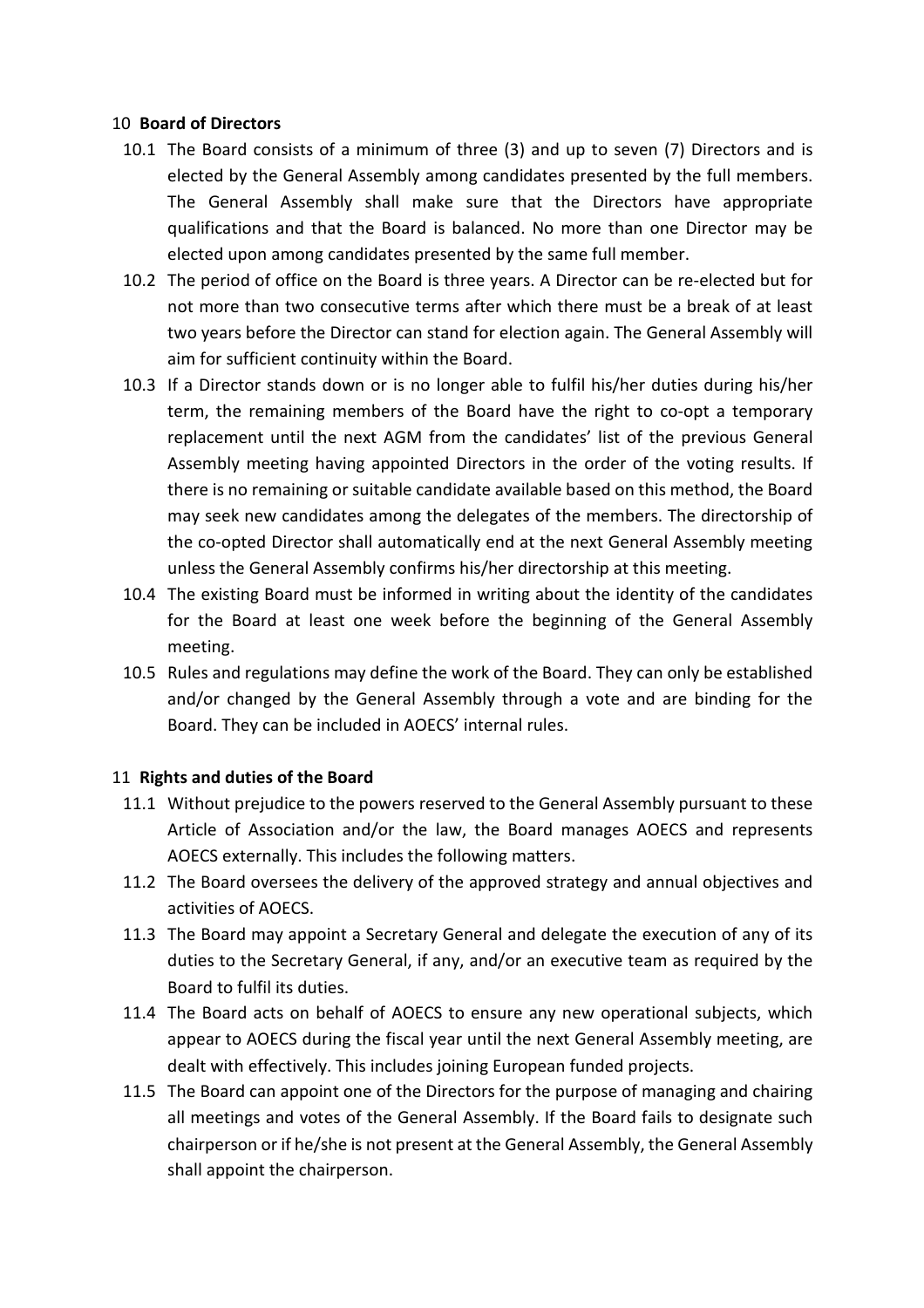## 10 **Board of Directors**

- 10.1 The Board consists of a minimum of three (3) and up to seven (7) Directors and is elected by the General Assembly among candidates presented by the full members. The General Assembly shall make sure that the Directors have appropriate qualifications and that the Board is balanced. No more than one Director may be elected upon among candidates presented by the same full member.
- 10.2 The period of office on the Board is three years. A Director can be re-elected but for not more than two consecutive terms after which there must be a break of at least two years before the Director can stand for election again. The General Assembly will aim for sufficient continuity within the Board.
- 10.3 If a Director stands down or is no longer able to fulfil his/her duties during his/her term, the remaining members of the Board have the right to co-opt a temporary replacement until the next AGM from the candidates' list of the previous General Assembly meeting having appointed Directors in the order of the voting results. If there is no remaining or suitable candidate available based on this method, the Board may seek new candidates among the delegates of the members. The directorship of the co-opted Director shall automatically end at the next General Assembly meeting unless the General Assembly confirms his/her directorship at this meeting.
- 10.4 The existing Board must be informed in writing about the identity of the candidates for the Board at least one week before the beginning of the General Assembly meeting.
- 10.5 Rules and regulations may define the work of the Board. They can only be established and/or changed by the General Assembly through a vote and are binding for the Board. They can be included in AOECS' internal rules.

## 11 **Rights and duties of the Board**

- 11.1 Without prejudice to the powers reserved to the General Assembly pursuant to these Article of Association and/or the law, the Board manages AOECS and represents AOECS externally. This includes the following matters.
- 11.2 The Board oversees the delivery of the approved strategy and annual objectives and activities of AOECS.
- 11.3 The Board may appoint a Secretary General and delegate the execution of any of its duties to the Secretary General, if any, and/or an executive team as required by the Board to fulfil its duties.
- 11.4 The Board acts on behalf of AOECS to ensure any new operational subjects, which appear to AOECS during the fiscal year until the next General Assembly meeting, are dealt with effectively. This includes joining European funded projects.
- 11.5 The Board can appoint one of the Directors for the purpose of managing and chairing all meetings and votes of the General Assembly. If the Board fails to designate such chairperson or if he/she is not present at the General Assembly, the General Assembly shall appoint the chairperson.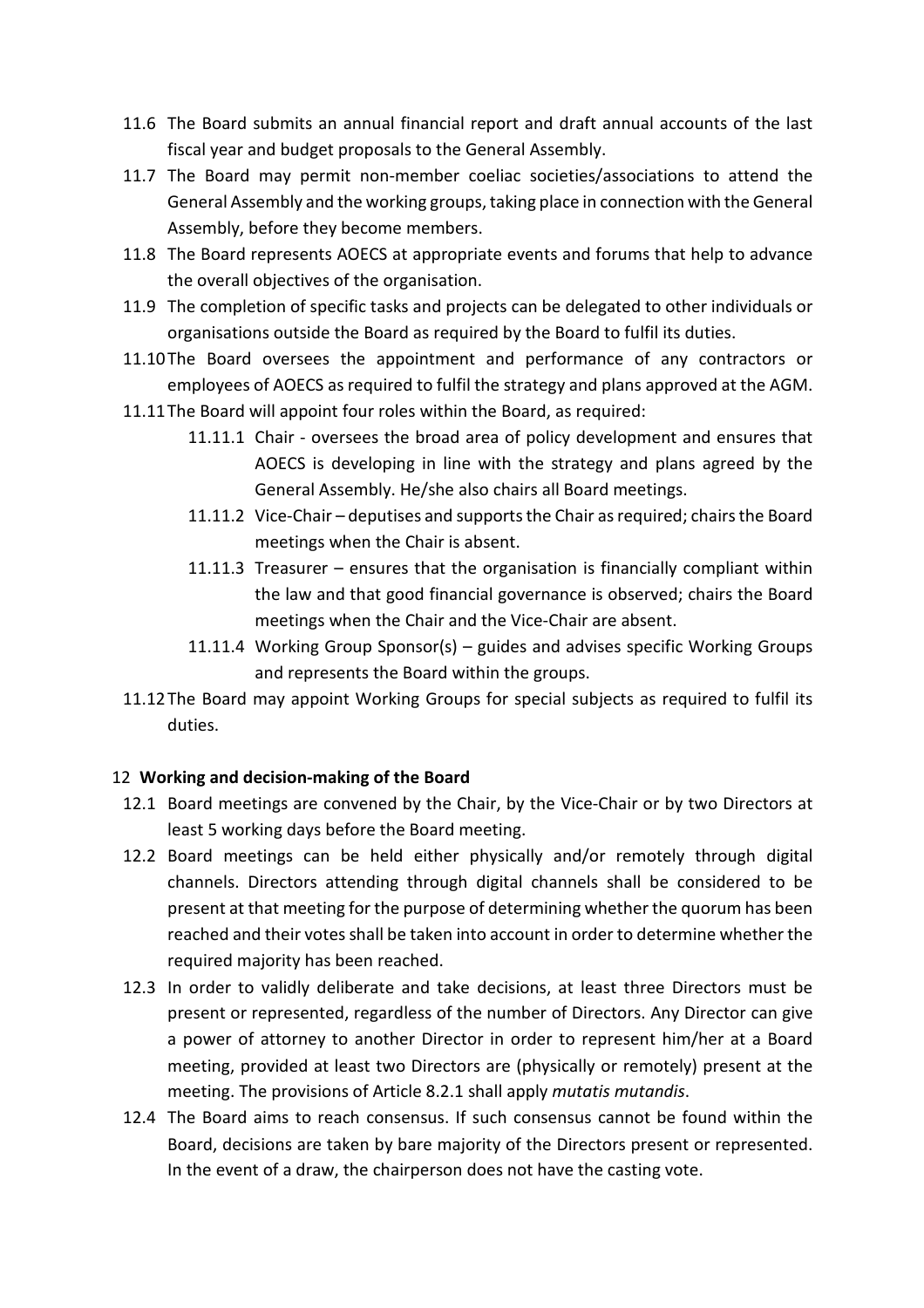- 11.6 The Board submits an annual financial report and draft annual accounts of the last fiscal year and budget proposals to the General Assembly.
- 11.7 The Board may permit non-member coeliac societies/associations to attend the General Assembly and the working groups, taking place in connection with the General Assembly, before they become members.
- 11.8 The Board represents AOECS at appropriate events and forums that help to advance the overall objectives of the organisation.
- 11.9 The completion of specific tasks and projects can be delegated to other individuals or organisations outside the Board as required by the Board to fulfil its duties.
- 11.10The Board oversees the appointment and performance of any contractors or employees of AOECS as required to fulfil the strategy and plans approved at the AGM.
- 11.11The Board will appoint four roles within the Board, as required:
	- 11.11.1 Chair oversees the broad area of policy development and ensures that AOECS is developing in line with the strategy and plans agreed by the General Assembly. He/she also chairs all Board meetings.
	- 11.11.2 Vice-Chair deputises and supports the Chair as required; chairs the Board meetings when the Chair is absent.
	- 11.11.3 Treasurer ensures that the organisation is financially compliant within the law and that good financial governance is observed; chairs the Board meetings when the Chair and the Vice-Chair are absent.
	- 11.11.4 Working Group Sponsor(s) guides and advises specific Working Groups and represents the Board within the groups.
- 11.12The Board may appoint Working Groups for special subjects as required to fulfil its duties.

## 12 **Working and decision-making of the Board**

- 12.1 Board meetings are convened by the Chair, by the Vice-Chair or by two Directors at least 5 working days before the Board meeting.
- 12.2 Board meetings can be held either physically and/or remotely through digital channels. Directors attending through digital channels shall be considered to be present at that meeting for the purpose of determining whether the quorum has been reached and their votes shall be taken into account in order to determine whether the required majority has been reached.
- 12.3 In order to validly deliberate and take decisions, at least three Directors must be present or represented, regardless of the number of Directors. Any Director can give a power of attorney to another Director in order to represent him/her at a Board meeting, provided at least two Directors are (physically or remotely) present at the meeting. The provisions of Article 8.2.1 shall apply *mutatis mutandis*.
- 12.4 The Board aims to reach consensus. If such consensus cannot be found within the Board, decisions are taken by bare majority of the Directors present or represented. In the event of a draw, the chairperson does not have the casting vote.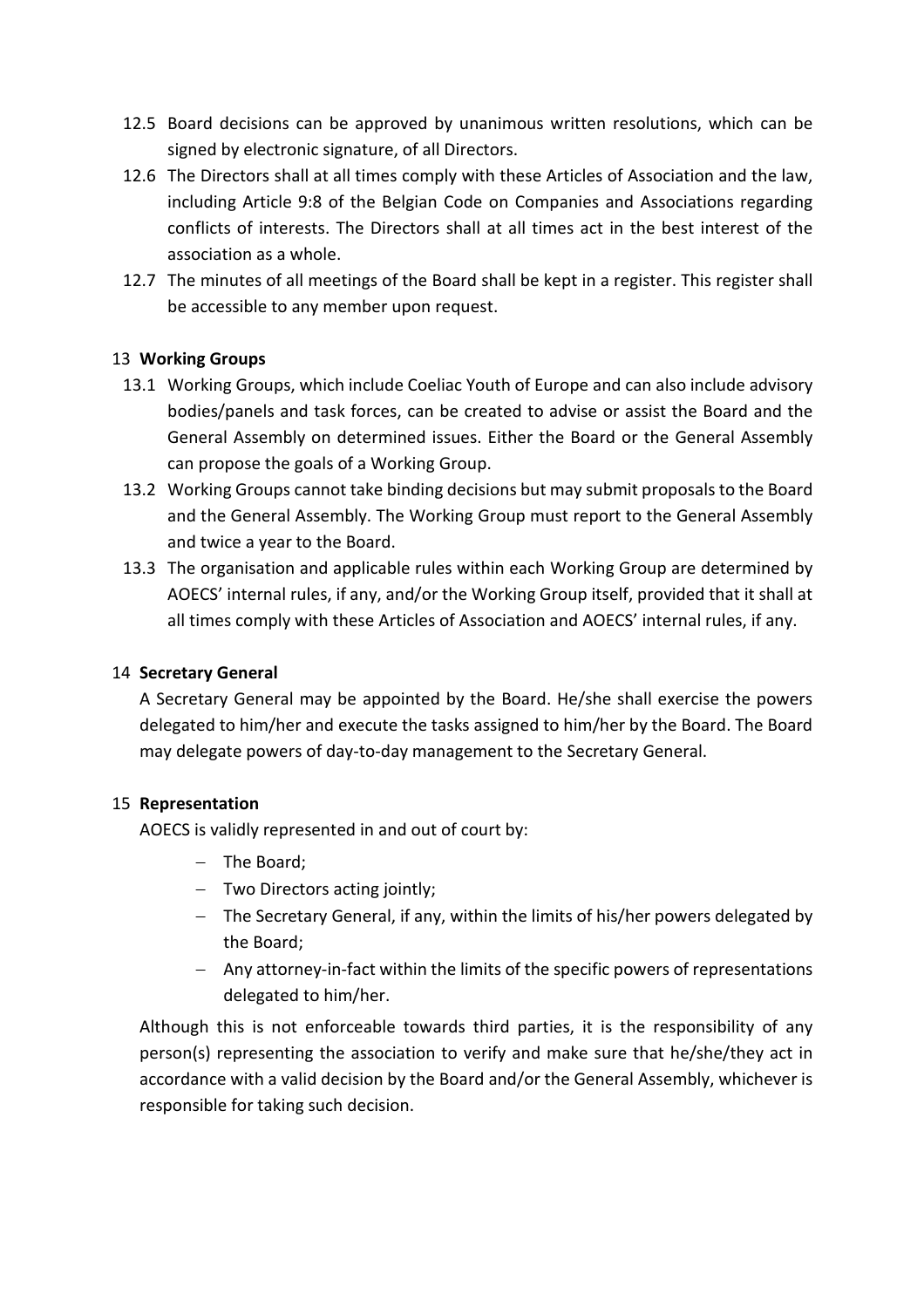- 12.5 Board decisions can be approved by unanimous written resolutions, which can be signed by electronic signature, of all Directors.
- 12.6 The Directors shall at all times comply with these Articles of Association and the law, including Article 9:8 of the Belgian Code on Companies and Associations regarding conflicts of interests. The Directors shall at all times act in the best interest of the association as a whole.
- 12.7 The minutes of all meetings of the Board shall be kept in a register. This register shall be accessible to any member upon request.

## 13 **Working Groups**

- 13.1 Working Groups, which include Coeliac Youth of Europe and can also include advisory bodies/panels and task forces, can be created to advise or assist the Board and the General Assembly on determined issues. Either the Board or the General Assembly can propose the goals of a Working Group.
- 13.2 Working Groups cannot take binding decisions but may submit proposals to the Board and the General Assembly. The Working Group must report to the General Assembly and twice a year to the Board.
- 13.3 The organisation and applicable rules within each Working Group are determined by AOECS' internal rules, if any, and/or the Working Group itself, provided that it shall at all times comply with these Articles of Association and AOECS' internal rules, if any.

### 14 **Secretary General**

A Secretary General may be appointed by the Board. He/she shall exercise the powers delegated to him/her and execute the tasks assigned to him/her by the Board. The Board may delegate powers of day-to-day management to the Secretary General.

### 15 **Representation**

AOECS is validly represented in and out of court by:

- $-$  The Board:
- Two Directors acting jointly;
- The Secretary General, if any, within the limits of his/her powers delegated by the Board;
- Any attorney-in-fact within the limits of the specific powers of representations delegated to him/her.

Although this is not enforceable towards third parties, it is the responsibility of any person(s) representing the association to verify and make sure that he/she/they act in accordance with a valid decision by the Board and/or the General Assembly, whichever is responsible for taking such decision.